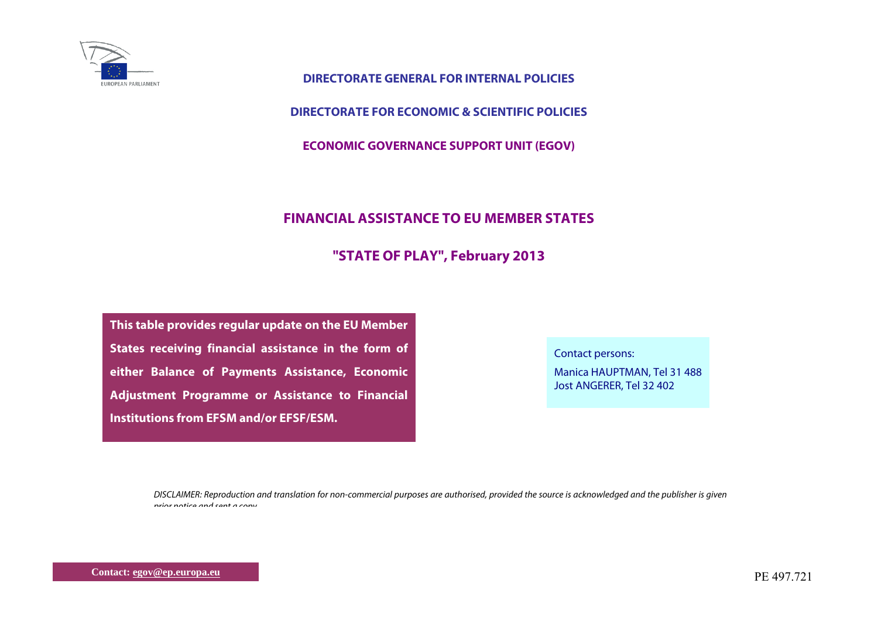

**DIRECTORATE GENERAL FOR INTERNAL POLICIES** 

**DIRECTORATE FOR ECONOMIC & SCIENTIFIC POLICIES** 

**ECONOMIC GOVERNANCE SUPPORT UNIT (EGOV)** 

## **FINANCIAL ASSISTANCE TO EU MEMBER STATES**

## **"STATE OF PLAY", February 2013**

**This table provides regular update on the EU Member States receiving financial assistance in the form of either Balance of Payments Assistance, Economic Adjustment Programme or Assistance to Financial Institutions from EFSM and/or EFSF/ESM.** 

Contact persons:

Manica HAUPTMAN, Tel 31 488 Jost ANGERER, Tel 32 402

DISCLAIMER: Reproduction and translation for non-commercial purposes are authorised, provided the source is acknowledged and the publisher is given prior notice and sent <sup>a</sup> copy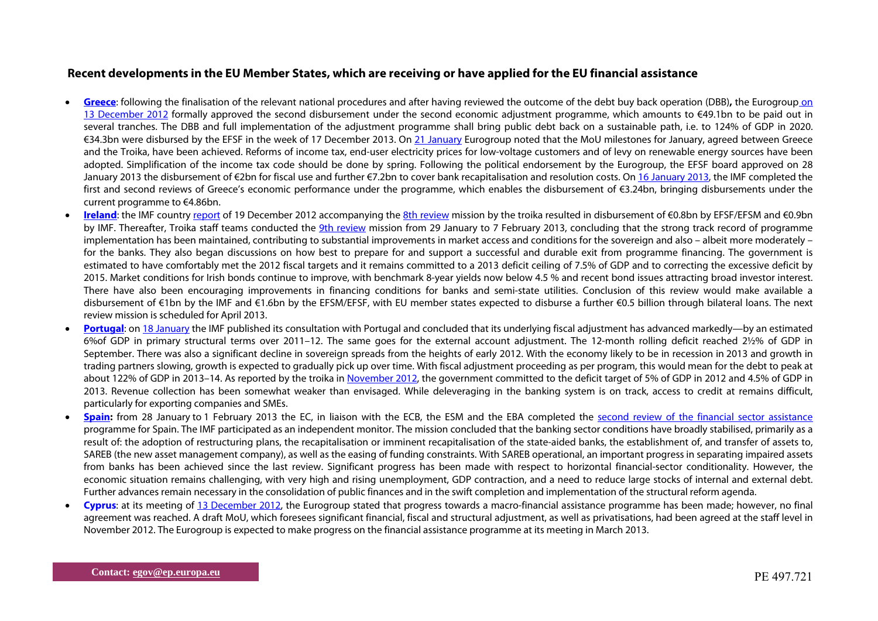## **Recent developments in the EU Member States, which are receiving or have applied for the EU financial assistance**

- $\bullet$  **[Greece](http://ec.europa.eu/economy_finance/assistance_eu_ms/greek_loan_facility/index_en.htm)**: following the finalisation of the relevant national procedures and after having reviewed the outcome of the debt buy back operation (DBB)**,** the Eurogroup [on](http://www.consilium.europa.eu/uedocs/cms_Data/docs/pressdata/en/ecofin/134269.pdf)  [13 December 2012](http://www.consilium.europa.eu/uedocs/cms_Data/docs/pressdata/en/ecofin/134269.pdf) formally approved the second disbursement under the second economic adjustment programme, which amounts to €49.1bn to be paid out in several tranches. The DBB and full implementation of the adjustment programme shall bring public debt back on a sustainable path, i.e. to 124% of GDP in 2020. €34.3bn were disbursed by the EFSF in the week of 17 December 2013. On [21 January](http://www.consilium.europa.eu/uedocs/cms_Data/docs/pressdata/en/ecofin/134936.pdf) Eurogroup noted that the MoU milestones for January, agreed between Greece and the Troika, have been achieved. Reforms of income tax, end-user electricity prices for low-voltage customers and of levy on renewable energy sources have been adopted. Simplification of the income tax code should be done by spring. Following the political endorsement by the Eurogroup, the EFSF board approved on 28 January 2013 the disbursement of €2bn for fiscal use and further €7.2bn to cover bank recapitalisation and resolution costs. On [16 January 2013,](http://www.imf.org/external/pubs/ft/scr/2013/cr1320.pdf) the IMF completed the first and second reviews of Greece's economic performance under the programme, which enables the disbursement of €3.24bn, bringing disbursements under the current programme to €4.86bn.
- . **[Ireland](http://ec.europa.eu/economy_finance/assistance_eu_ms/ireland/index_en.htm)**: the IMF country [report](http://www.imf.org/external/pubs/ft/scr/2012/cr12336.pdf) of 19 December 2012 accompanying the [8th review](http://www.imf.org/external/np/sec/pr/2012/pr12491.htm) mission by the troika resulted in disbursement of €0.8bn by EFSF/EFSM and €0.9bn by IMF. Thereafter, Troika staff teams conducted the [9th review](http://www.imf.org/external/np/sec/pr/2013/pr1340.htm) mission from 29 January to 7 February 2013, concluding that the strong track record of programme implementation has been maintained, contributing to substantial improvements in market access and conditions for the sovereign and also – albeit more moderately – for the banks. They also began discussions on how best to prepare for and support a successful and durable exit from programme financing. The government is estimated to have comfortably met the 2012 fiscal targets and it remains committed to a 2013 deficit ceiling of 7.5% of GDP and to correcting the excessive deficit by 2015. Market conditions for Irish bonds continue to improve, with benchmark 8-year yields now below 4.5 % and recent bond issues attracting broad investor interest. There have also been encouraging improvements in financing conditions for banks and semi-state utilities. Conclusion of this review would make available a disbursement of €1bn by the IMF and €1.6bn by the EFSM/EFSF, with EU member states expected to disburse a further €0.5 billion through bilateral loans. The next review mission is scheduled for April 2013.
- . **[Portugal](http://ec.europa.eu/economy_finance/assistance_eu_ms/portugal/index_en.htm)**: on [18 January](http://www.imf.org/external/np/sec/pn/2013/pn1307.htm) the IMF published its consultation with Portugal and concluded that its underlying fiscal adjustment has advanced markedly—by an estimated 6%of GDP in primary structural terms over 2011–12. The same goes for the external account adjustment. The 12-month rolling deficit reached 2½% of GDP in September. There was also a significant decline in sovereign spreads from the heights of early 2012. With the economy likely to be in recession in 2013 and growth in trading partners slowing, growth is expected to gradually pick up over time. With fiscal adjustment proceeding as per program, this would mean for the debt to peak at about 122% of GDP in 2013–14. As reported by the troika in [November 2012](http://europa.eu/rapid/press-release_MEMO-12-879_en.htm), the government committed to the deficit target of 5% of GDP in 2012 and 4.5% of GDP in 2013. Revenue collection has been somewhat weaker than envisaged. While deleveraging in the banking system is on track, access to credit at remains difficult, particularly for exporting companies and SMEs.
- $\bullet$ **[Spain](http://ec.europa.eu/economy_finance/assistance_eu_ms/spain/index_en.htm):** from 28 January to 1 February 2013 the EC, in liaison with the ECB, the ESM and the EBA completed the [second review of the financial sector assistance](http://www.ecb.int/press/pr/date/2013/html/pr130204.en.html) programme for Spain. The IMF participated as an independent monitor. The mission concluded that the banking sector conditions have broadly stabilised, primarily as a result of: the adoption of restructuring plans, the recapitalisation or imminent recapitalisation of the state-aided banks, the establishment of, and transfer of assets to, SAREB (the new asset management company), as well as the easing of funding constraints. With SAREB operational, an important progress in separating impaired assets from banks has been achieved since the last review. Significant progress has been made with respect to horizontal financial-sector conditionality. However, the economic situation remains challenging, with very high and rising unemployment, GDP contraction, and a need to reduce large stocks of internal and external debt. Further advances remain necessary in the consolidation of public finances and in the swift completion and implementation of the structural reform agenda.
- $\bullet$  **Cyprus**: at its meeting of [13 December 2012](http://eurozone.europa.eu/media/864703/eg_statement_cyprus_13_12_12.pdf), the Eurogroup stated that progress towards a macro-financial assistance programme has been made; however, no final agreement was reached. A draft MoU, which foresees significant financial, fiscal and structural adjustment, as well as privatisations, had been agreed at the staff level in November 2012. The Eurogroup is expected to make progress on the financial assistance programme at its meeting in March 2013.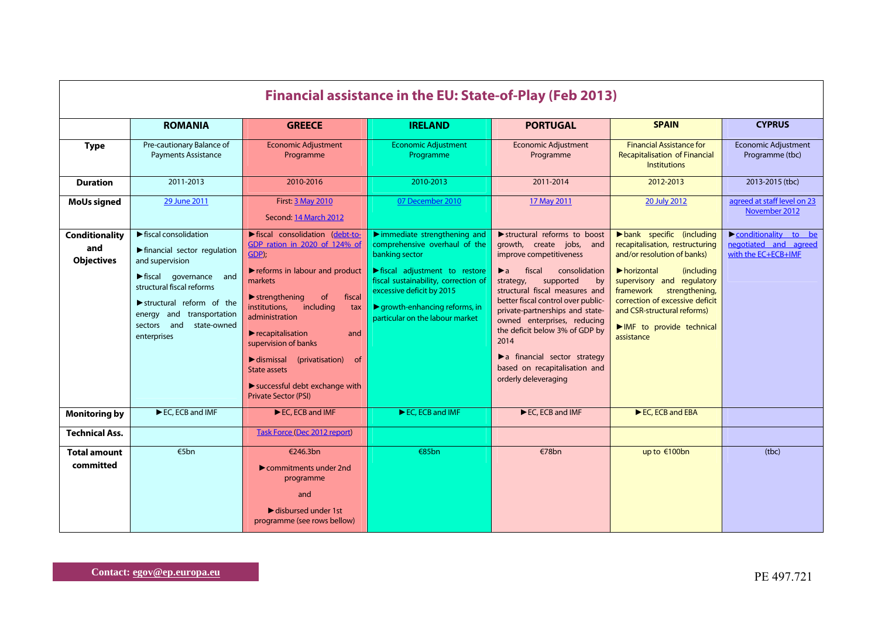| <b>Financial assistance in the EU: State-of-Play (Feb 2013)</b> |                                                                                                                                                                                                                                                                                                        |                                                                                                                                                                                                                                                                                                                                                                                                                                                                                         |                                                                                                                                                                                                                                                                                                           |                                                                                                                                                                                                                                                                                                                                                                                                                                                      |                                                                                                                                                                                                                                                                                                                                                 |                                                                      |  |  |
|-----------------------------------------------------------------|--------------------------------------------------------------------------------------------------------------------------------------------------------------------------------------------------------------------------------------------------------------------------------------------------------|-----------------------------------------------------------------------------------------------------------------------------------------------------------------------------------------------------------------------------------------------------------------------------------------------------------------------------------------------------------------------------------------------------------------------------------------------------------------------------------------|-----------------------------------------------------------------------------------------------------------------------------------------------------------------------------------------------------------------------------------------------------------------------------------------------------------|------------------------------------------------------------------------------------------------------------------------------------------------------------------------------------------------------------------------------------------------------------------------------------------------------------------------------------------------------------------------------------------------------------------------------------------------------|-------------------------------------------------------------------------------------------------------------------------------------------------------------------------------------------------------------------------------------------------------------------------------------------------------------------------------------------------|----------------------------------------------------------------------|--|--|
|                                                                 | <b>ROMANIA</b>                                                                                                                                                                                                                                                                                         | <b>GREECE</b>                                                                                                                                                                                                                                                                                                                                                                                                                                                                           | <b>IRELAND</b>                                                                                                                                                                                                                                                                                            | <b>PORTUGAL</b>                                                                                                                                                                                                                                                                                                                                                                                                                                      | <b>SPAIN</b>                                                                                                                                                                                                                                                                                                                                    | <b>CYPRUS</b>                                                        |  |  |
| <b>Type</b>                                                     | Pre-cautionary Balance of<br><b>Payments Assistance</b>                                                                                                                                                                                                                                                | <b>Economic Adjustment</b><br>Programme                                                                                                                                                                                                                                                                                                                                                                                                                                                 | <b>Economic Adjustment</b><br>Programme                                                                                                                                                                                                                                                                   | <b>Economic Adjustment</b><br>Programme                                                                                                                                                                                                                                                                                                                                                                                                              | <b>Financial Assistance for</b><br><b>Recapitalisation of Financial</b><br><b>Institutions</b>                                                                                                                                                                                                                                                  | <b>Economic Adjustment</b><br>Programme (tbc)                        |  |  |
| <b>Duration</b>                                                 | 2011-2013                                                                                                                                                                                                                                                                                              | 2010-2016                                                                                                                                                                                                                                                                                                                                                                                                                                                                               | 2010-2013                                                                                                                                                                                                                                                                                                 | 2011-2014                                                                                                                                                                                                                                                                                                                                                                                                                                            | 2012-2013                                                                                                                                                                                                                                                                                                                                       | 2013-2015 (tbc)                                                      |  |  |
| <b>MoUs signed</b>                                              | 29 June 2011                                                                                                                                                                                                                                                                                           | <b>First: 3 May 2010</b><br>Second: 14 March 2012                                                                                                                                                                                                                                                                                                                                                                                                                                       | 07 December 2010                                                                                                                                                                                                                                                                                          | 17 May 2011                                                                                                                                                                                                                                                                                                                                                                                                                                          | 20 July 2012                                                                                                                                                                                                                                                                                                                                    | agreed at staff level on 23<br>November 2012                         |  |  |
| <b>Conditionality</b><br>and<br><b>Objectives</b>               | $\blacktriangleright$ fiscal consolidation<br>▶ financial sector regulation<br>and supervision<br>$\blacktriangleright$ fiscal governance and<br>structural fiscal reforms<br>$\blacktriangleright$ structural reform of the<br>energy and transportation<br>sectors and<br>state-owned<br>enterprises | lacked consolidation (debt-to-<br>GDP ration in 2020 of 124% of<br>GDP);<br>reforms in labour and product<br>markets<br>$\blacktriangleright$ strengthening<br><sub>of</sub><br>fiscal<br>institutions,<br>including<br>tax<br>administration<br>$\blacktriangleright$ recapitalisation<br>and<br>supervision of banks<br>$\blacktriangleright$ dismissal (privatisation)<br>- of<br>State assets<br>$\blacktriangleright$ successful debt exchange with<br><b>Private Sector (PSI)</b> | $\blacktriangleright$ immediate strengthening and<br>comprehensive overhaul of the<br>banking sector<br>lacker fiscal adjustment to restore<br>fiscal sustainability, correction of<br>excessive deficit by 2015<br>$\blacktriangleright$ growth-enhancing reforms, in<br>particular on the labour market | structural reforms to boost<br>growth, create jobs, and<br>improve competitiveness<br>fiscal<br>consolidation<br>$\blacktriangleright$ a<br>supported<br>strategy,<br>by<br>structural fiscal measures and<br>better fiscal control over public-<br>private-partnerships and state-<br>owned enterprises, reducing<br>the deficit below 3% of GDP by<br>2014<br>a financial sector strategy<br>based on recapitalisation and<br>orderly deleveraging | $\blacktriangleright$ bank specific (including<br>recapitalisation, restructuring<br>and/or resolution of banks)<br>$\blacktriangleright$ horizontal<br><i>(including)</i><br>supervisory and regulatory<br>framework strengthening,<br>correction of excessive deficit<br>and CSR-structural reforms)<br>MF to provide technical<br>assistance | conditionality to be<br>negotiated and agreed<br>with the EC+ECB+IMF |  |  |
| <b>Monitoring by</b>                                            | EC, ECB and IMF                                                                                                                                                                                                                                                                                        | EC, ECB and IMF                                                                                                                                                                                                                                                                                                                                                                                                                                                                         | $\blacktriangleright$ EC. ECB and IMF                                                                                                                                                                                                                                                                     | EC, ECB and IMF                                                                                                                                                                                                                                                                                                                                                                                                                                      | EC, ECB and EBA                                                                                                                                                                                                                                                                                                                                 |                                                                      |  |  |
| <b>Technical Ass.</b>                                           |                                                                                                                                                                                                                                                                                                        | <b>Task Force (Dec 2012 report)</b>                                                                                                                                                                                                                                                                                                                                                                                                                                                     |                                                                                                                                                                                                                                                                                                           |                                                                                                                                                                                                                                                                                                                                                                                                                                                      |                                                                                                                                                                                                                                                                                                                                                 |                                                                      |  |  |
| <b>Total amount</b><br>committed                                | €5 $bn$                                                                                                                                                                                                                                                                                                | €246.3bn<br>$\triangleright$ commitments under 2nd<br>programme<br>and<br>$\blacktriangleright$ disbursed under 1st<br>programme (see rows bellow)                                                                                                                                                                                                                                                                                                                                      | €85bn                                                                                                                                                                                                                                                                                                     | €78bn                                                                                                                                                                                                                                                                                                                                                                                                                                                | up to €100bn                                                                                                                                                                                                                                                                                                                                    | (tbc)                                                                |  |  |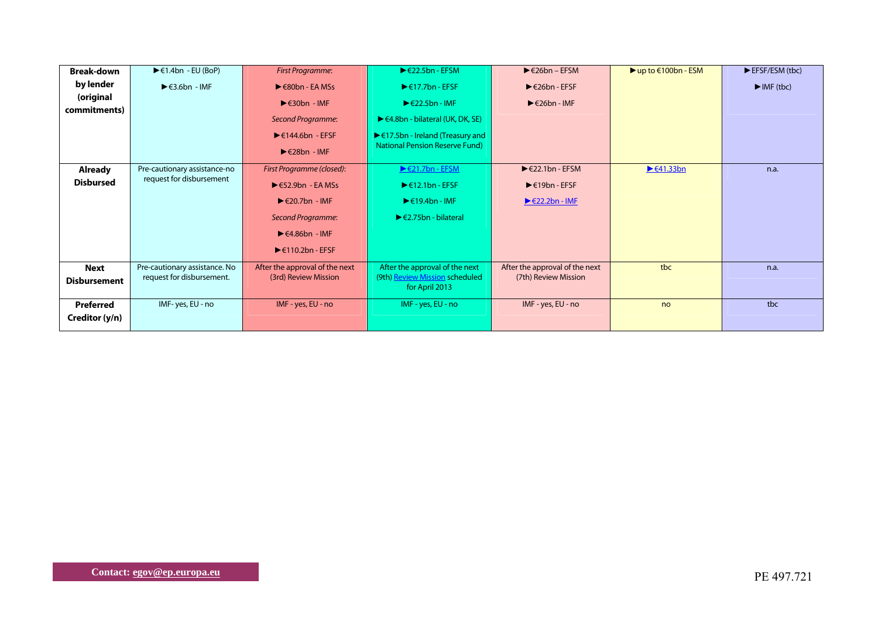| <b>Break-down</b>   | $\blacktriangleright$ $\in$ 1.4bn - EU (BoP) | First Programme:                            | $\blacktriangleright$ $\in$ 22.5bn - EFSM                  | $\blacktriangleright$ $\in$ 26bn – EFSM   | $\blacktriangleright$ up to $\in$ 100bn - ESM | EFSF/ESM (tbc)                  |
|---------------------|----------------------------------------------|---------------------------------------------|------------------------------------------------------------|-------------------------------------------|-----------------------------------------------|---------------------------------|
| by lender           | $\blacktriangleright$ $\in$ 3.6bn - IMF      | $\blacktriangleright$ $\in$ 80bn - EA MSs   | $\blacktriangleright$ $\in$ 17.7bn - EFSF                  | $\blacktriangleright$ $\in$ 26bn - EFSF   |                                               | $\blacktriangleright$ IMF (tbc) |
| (original           |                                              | $\blacktriangleright$ $\in$ 30bn - IMF      | $\blacktriangleright$ $\in$ 22.5bn - IMF                   | $\blacktriangleright$ $\in$ 26bn - IMF    |                                               |                                 |
| commitments)        |                                              | Second Programme:                           | $\blacktriangleright$ $\in$ 4.8bn - bilateral (UK, DK, SE) |                                           |                                               |                                 |
|                     |                                              |                                             |                                                            |                                           |                                               |                                 |
|                     |                                              | $\blacktriangleright$ $\in$ 144.6bn - EFSF  | $\blacktriangleright$ $\in$ 17.5bn - Ireland (Treasury and |                                           |                                               |                                 |
|                     |                                              | $\blacktriangleright$ $\in$ 28bn - IMF      | <b>National Pension Reserve Fund)</b>                      |                                           |                                               |                                 |
| <b>Already</b>      | Pre-cautionary assistance-no                 | First Programme (closed):                   | $\triangleright$ $\in$ 21.7bn - EFSM                       | $\blacktriangleright$ $\in$ 22.1bn - EFSM | $\blacktriangleright$ $\in$ 41.33bn           | n.a.                            |
| <b>Disbursed</b>    | request for disbursement                     | $\blacktriangleright$ $\in$ 52.9bn - EA MSs | $\blacktriangleright$ $\in$ 12.1bn - EFSF                  | $\blacktriangleright$ $\in$ 19bn - EFSF   |                                               |                                 |
|                     |                                              | $\blacktriangleright$ $\in$ 20.7bn - IMF    | $\blacktriangleright$ $\in$ 19.4bn - IMF                   | $\blacktriangleright$ $\in$ 22.2bn - IME  |                                               |                                 |
|                     |                                              | Second Programme:                           | $\blacktriangleright$ $\in$ 2.75bn - bilateral             |                                           |                                               |                                 |
|                     |                                              | $\blacktriangleright$ $\in$ 4.86bn - IMF    |                                                            |                                           |                                               |                                 |
|                     |                                              | $\blacktriangleright$ $\in$ 110.2bn - EFSF  |                                                            |                                           |                                               |                                 |
| Next                | Pre-cautionary assistance. No                | After the approval of the next              | After the approval of the next                             | After the approval of the next            | tbc                                           | n.a.                            |
| <b>Disbursement</b> | request for disbursement.                    | (3rd) Review Mission                        | (9th) Review Mission scheduled<br>for April 2013           | (7th) Review Mission                      |                                               |                                 |
|                     |                                              |                                             |                                                            |                                           |                                               |                                 |
| Preferred           | IMF-yes, EU - no                             | IMF - yes, EU - no                          | IMF - yes, EU - no                                         | IMF - yes, EU - no                        | no                                            | tbc                             |
| Creditor (y/n)      |                                              |                                             |                                                            |                                           |                                               |                                 |